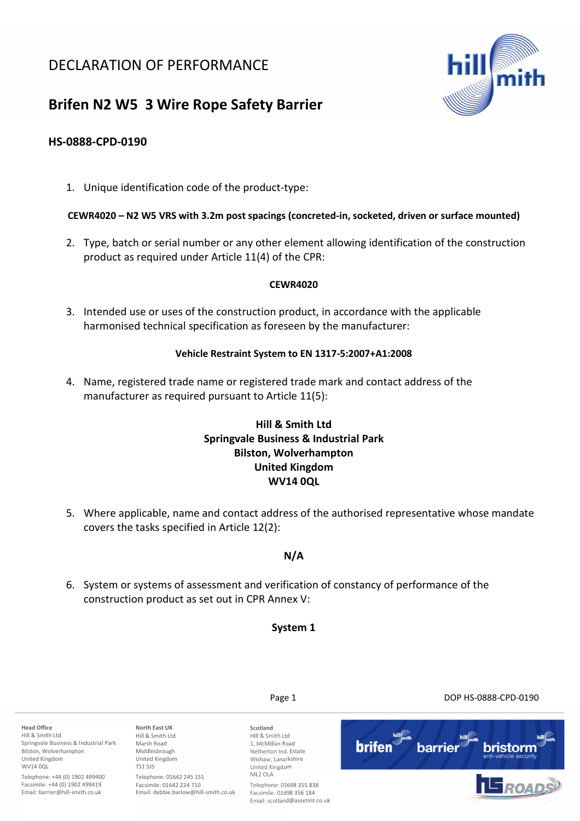## DECLARATION OF PERFORMANCE



# **Brifen N2 W5 3 Wire Rope Safety Barrier**

## **HS-0888-CPD-0190**

1. Unique identification code of the product-type:

#### **CEWR4020 – N2 W5 VRS with 3.2m post spacings (concreted-in, socketed, driven or surface mounted)**

2. Type, batch or serial number or any other element allowing identification of the construction product as required under Article 11(4) of the CPR:

#### **CEWR4020**

3. Intended use or uses of the construction product, in accordance with the applicable harmonised technical specification as foreseen by the manufacturer:

#### **Vehicle Restraint System to EN 1317-5:2007+A1:2008**

4. Name, registered trade name or registered trade mark and contact address of the manufacturer as required pursuant to Article 11(5):

## **Hill & Smith Ltd Springvale Business & Industrial Park Bilston, Wolverhampton United Kingdom WV14 0QL**

5. Where applicable, name and contact address of the authorised representative whose mandate covers the tasks specified in Article 12(2):

## **N/A**

6. System or systems of assessment and verification of constancy of performance of the construction product as set out in CPR Annex V:

**System 1** 

**Head Office**  Hill & Smith Ltd Springvale Business & Industrial Park Bilston, Wolverhampton United Kingdom WV14 00L **North East UK**  Marsh Road Middlesbrough TS1 5JS

Telephone: +44 (0) 1902 499400 Facsimile: +44 (0) 1902 499419 Email: barrier@hill-smith.co.uk

Hill & Smith Ltd United Kingdom Telephone: 01642 245 151 Facsimile: 01642 224 710

Email: debbie.barlow@hill-smith.co.uk

**Scotland**  Hill & Smith Ltd 1, McMillan Road Netherton Ind. Estate Wishaw, Lanarkshire United Kingdom ML2 OLA Telephone: 01698 355 838

Facsimile: 01698 356 184 Email: scotland@assetint.co.uk

Page 1 DOP HS-0888-CPD-0190